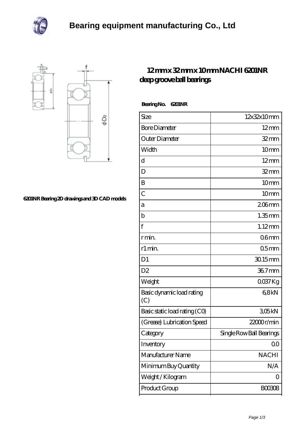



## **[6201NR Bearing 2D drawings and 3D CAD models](https://davidsherjan.com/pic-10453.html)**

## **[12 mm x 32 mm x 10 mm NACHI 6201NR](https://davidsherjan.com/au-10453-nachi-6201nr-deep-groove-ball-bearings.html) [deep groove ball bearings](https://davidsherjan.com/au-10453-nachi-6201nr-deep-groove-ball-bearings.html)**

| <b>BearingNo.</b> | <b>G201NR</b> |
|-------------------|---------------|
|-------------------|---------------|

| Size                             | 12x32x10mm               |
|----------------------------------|--------------------------|
| <b>Bore Diameter</b>             | $12 \text{mm}$           |
| Outer Diameter                   | $32$ mm                  |
| Width                            | 10mm                     |
| d                                | $12 \text{mm}$           |
| D                                | $32$ mm                  |
| B                                | 10 <sub>mm</sub>         |
| $\overline{C}$                   | 10mm                     |
| а                                | $206$ mm                 |
| $\mathbf b$                      | $1.35$ mm                |
| $\mathbf{f}$                     | $1.12$ mm                |
| r min.                           | 06 <sub>mm</sub>         |
| r1 min.                          | 05 <sub>mm</sub>         |
| D <sub>1</sub>                   | 30.15mm                  |
| D <sub>2</sub>                   | 36.7mm                   |
| Weight                           | QO37Kg                   |
| Basic dynamic load rating<br>(C) | 68kN                     |
| Basic static load rating (CO)    | 305kN                    |
| (Grease) Lubrication Speed       | $22000$ r/min            |
| Category                         | Single Row Ball Bearings |
| Inventory                        | 0 <sub>0</sub>           |
| Manufacturer Name                | <b>NACHI</b>             |
| Minimum Buy Quantity             | N/A                      |
| Weight / Kilogram                | 0                        |
| Product Group                    | <b>BOO3O8</b>            |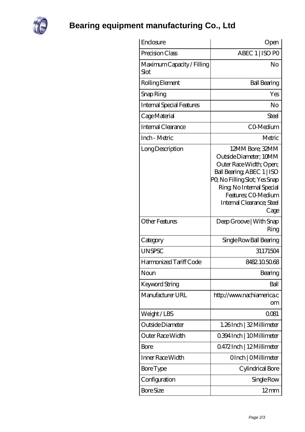

**[Bearing equipment manufacturing Co., Ltd](https://davidsherjan.com)**

| Enclosure                          | Open                                                                                                                                                                                                                        |
|------------------------------------|-----------------------------------------------------------------------------------------------------------------------------------------------------------------------------------------------------------------------------|
| Precision Class                    | ABEC 1   ISO PO                                                                                                                                                                                                             |
| Maximum Capacity / Filling<br>Slot | No                                                                                                                                                                                                                          |
| Rolling Element                    | <b>Ball Bearing</b>                                                                                                                                                                                                         |
| Snap Ring                          | Yes                                                                                                                                                                                                                         |
| <b>Internal Special Features</b>   | No                                                                                                                                                                                                                          |
| Cage Material                      | Steel                                                                                                                                                                                                                       |
| <b>Internal Clearance</b>          | CO-Medium                                                                                                                                                                                                                   |
| Inch - Metric                      | Metric                                                                                                                                                                                                                      |
| Long Description                   | 12MM Bore; 32MM<br>Outside Diameter; 10MM<br>Outer Race Width; Open;<br>Ball Bearing, ABEC 1   ISO<br>PQ No Filling Slot; Yes Snap<br>Ring, No Internal Special<br>Features: CO-Medium<br>Internal Clearance; Steel<br>Cage |
| <b>Other Features</b>              | Deep Groove   With Snap<br>Ring                                                                                                                                                                                             |
| Category                           | Single Row Ball Bearing                                                                                                                                                                                                     |
| <b>UNSPSC</b>                      | 31171504                                                                                                                                                                                                                    |
| Harmonized Tariff Code             | 8482105068                                                                                                                                                                                                                  |
| Noun                               | Bearing                                                                                                                                                                                                                     |
| Keyword String                     | Ball                                                                                                                                                                                                                        |
| Manufacturer URL                   | http://www.nachiamerica.c<br>om                                                                                                                                                                                             |
| Weight/LBS                         | 0081                                                                                                                                                                                                                        |
| Outside Diameter                   | 1.26Inch   32 Millimeter                                                                                                                                                                                                    |
| <b>Outer Race Width</b>            | 0.394 Inch   10 Millimeter                                                                                                                                                                                                  |
| Bore                               | 0472Inch   12Millimeter                                                                                                                                                                                                     |
| Inner Race Width                   | OInch   OMillimeter                                                                                                                                                                                                         |
| <b>Bore</b> Type                   | Cylindrical Bore                                                                                                                                                                                                            |
| Configuration                      | Single Row                                                                                                                                                                                                                  |
| <b>Bore Size</b>                   | $12 \text{mm}$                                                                                                                                                                                                              |